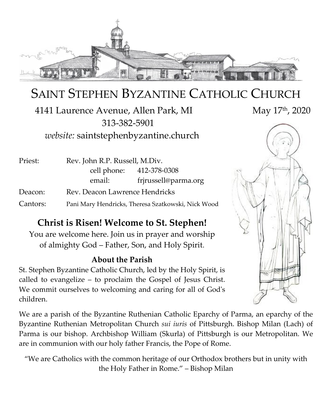

# SAINT STEPHEN BYZANTINE CATHOLIC CHURCH

4141 Laurence Avenue, Allen Park, MI 313-382-5901 *website:* saintstephenbyzantine.church

| Priest:  | Rev. John R.P. Russell, M.Div.                     |                          |
|----------|----------------------------------------------------|--------------------------|
|          |                                                    | cell phone: 412-378-0308 |
|          | email:                                             | frjrussell@parma.org     |
| Deacon:  | Rev. Deacon Lawrence Hendricks                     |                          |
| Cantors: | Pani Mary Hendricks, Theresa Szatkowski, Nick Wood |                          |

# **Christ is Risen! Welcome to St. Stephen!**

You are welcome here. Join us in prayer and worship of almighty God – Father, Son, and Holy Spirit.

### **About the Parish**

St. Stephen Byzantine Catholic Church, led by the Holy Spirit, is called to evangelize – to proclaim the Gospel of Jesus Christ. We commit ourselves to welcoming and caring for all of God's children.

We are a parish of the Byzantine Ruthenian Catholic Eparchy of Parma, an eparchy of the Byzantine Ruthenian Metropolitan Church *sui iuris* of Pittsburgh. Bishop Milan (Lach) of Parma is our bishop. Archbishop William (Skurla) of Pittsburgh is our Metropolitan. We are in communion with our holy father Francis, the Pope of Rome.

"We are Catholics with the common heritage of our Orthodox brothers but in unity with the Holy Father in Rome." – Bishop Milan

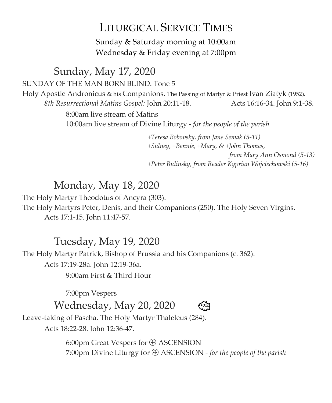# LITURGICAL SERVICE TIMES

Sunday & Saturday morning at 10:00am Wednesday & Friday evening at 7:00pm

Sunday, May 17, 2020 SUNDAY OF THE MAN BORN BLIND. Tone 5 Holy Apostle Andronicus & his Companions. The Passing of Martyr & Priest Ivan Ziatyk (1952). *8th Resurrectional Matins Gospel:* John 20:11-18. Acts 16:16-34. John 9:1-38. 8:00am live stream of Matins 10:00am live stream of Divine Liturgy *- for the people of the parish*

> *+Teresa Bobovsky, from Jane Semak (5-11) +Sidney, +Bennie, +Mary, & +John Thomas, from Mary Ann Osmond (5-13) +Peter Bulinsky, from Reader Kyprian Wojciechowski (5-16)*

# Monday, May 18, 2020

The Holy Martyr Theodotus of Ancyra (303). The Holy Martyrs Peter, Denis, and their Companions (250). The Holy Seven Virgins. Acts 17:1-15. John 11:47-57.

# Tuesday, May 19, 2020

The Holy Martyr Patrick, Bishop of Prussia and his Companions (c. 362). Acts 17:19-28a. John 12:19-36a. 9:00am First & Third Hour

7:00pm Vespers



Wednesday, May 20, 2020

Leave-taking of Pascha. The Holy Martyr Thaleleus (284). Acts 18:22-28. John 12:36-47.

> 6:00pm Great Vespers for  $\oplus$  ASCENSION 7:00pm Divine Liturgy for ASCENSION *- for the people of the parish*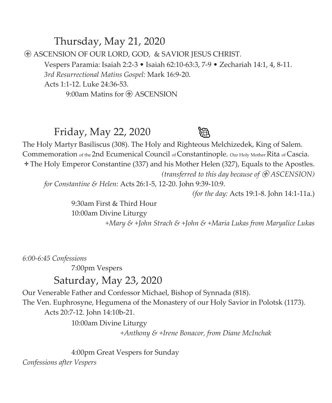Thursday, May 21, 2020 ASCENSION OF OUR LORD, GOD, & SAVIOR JESUS CHRIST. Vespers Paramia: Isaiah 2:2-3 • Isaiah 62:10-63:3, 7-9 • Zechariah 14:1, 4, 8-11. *3rd Resurrectional Matins Gospel:* Mark 16:9-20. Acts 1:1-12. Luke 24:36-53. 9:00am Matins for  $\bigoplus$  ASCENSION

Friday, May 22, 2020



The Holy Martyr Basiliscus (308). The Holy and Righteous Melchizedek, King of Salem. Commemoration of the 2nd Ecumenical Council of Constantinople. Our Holy Mother Rita of Cascia. The Holy Emperor Constantine (337) and his Mother Helen (327), Equals to the Apostles. *(transferred to this day because of ASCENSION)*

*for Constantine & Helen:* Acts 26:1-5, 12-20. John 9:39-10:9.

*(for the day:* Acts 19:1-8. John 14:1-11a.)

 9:30am First & Third Hour 10:00am Divine Liturgy

*+Mary & +John Strach & +John & +Maria Lukas from Maryalice Lukas*

*6:00-6:45 Confessions*

7:00pm Vespers Saturday, May 23, 2020

Our Venerable Father and Confessor Michael, Bishop of Synnada (818). The Ven. Euphrosyne, Hegumena of the Monastery of our Holy Savior in Polotsk (1173). Acts 20:7-12. John 14:10b-21.

10:00am Divine Liturgy

 *+Anthony & +Irene Bonacor, from Diane McInchak*

 4:00pm Great Vespers for Sunday *Confessions after Vespers*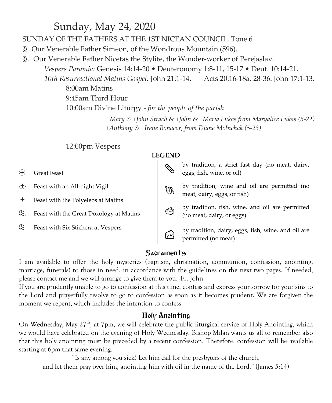# Sunday, May 24, 2020

SUNDAY OF THE FATHERS AT THE 1ST NICEAN COUNCIL. Tone 6

Our Venerable Father Simeon, of the Wondrous Mountain (596).

. Our Venerable Father Nicetas the Stylite, the Wonder-worker of Perejaslav.

*Vespers Paramia:* Genesis 14:14-20 • Deuteronomy 1:8-11, 15-17 • Deut. 10:14-21.

*10th Resurrectional Matins Gospel:* John 21:1-14. Acts 20:16-18a, 28-36. John 17:1-13. 8:00am Matins

9:45am Third Hour 10:00am Divine Liturgy *- for the people of the parish +Mary & +John Strach & +John & +Maria Lukas from Maryalice Lukas (5-22)*

 *+Anthony & +Irene Bonacor, from Diane McInchak (5-23)*

#### 12:00pm Vespers

#### **LEGEND**

- Great Feast
- Feast with an All-night Vigil
- Feast with the Polyeleos at Matins
- . Feast with the Great Doxology at Matins
- Feast with Six Stichera at Vespers

 by tradition, wine and oil are permitted (no meat, dairy, eggs, or fish)

by tradition, a strict fast day (no meat, dairy,

eggs, fish, wine, or oil)

 by tradition, fish, wine, and oil are permitted (no meat, dairy, or eggs)



by tradition, dairy, eggs, fish, wine, and oil are permitted (no meat)

#### **Sacraments**

I am available to offer the holy mysteries (baptism, chrismation, communion, confession, anointing, marriage, funerals) to those in need, in accordance with the guidelines on the next two pages. If needed, please contact me and we will arrange to give them to you. -Fr. John

If you are prudently unable to go to confession at this time, confess and express your sorrow for your sins to the Lord and prayerfully resolve to go to confession as soon as it becomes prudent. We are forgiven the moment we repent, which includes the intention to confess.

#### Holy Anointing

On Wednesday, May 27<sup>th</sup>, at 7pm, we will celebrate the public liturgical service of Holy Anointing, which we would have celebrated on the evening of Holy Wednesday. Bishop Milan wants us all to remember also that this holy anointing must be preceded by a recent confession. Therefore, confession will be available starting at 6pm that same evening.

"Is any among you sick? Let him call for the presbyters of the church,

and let them pray over him, anointing him with oil in the name of the Lord." (James 5:14)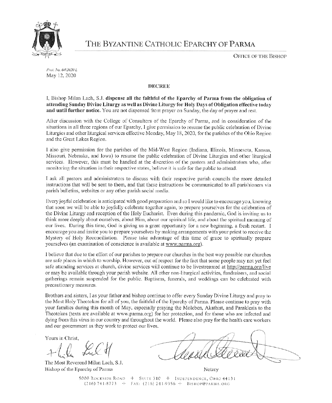

THE BYZANTINE CATHOLIC EPARCHY OF PARMA

**OFFICE OF THE BISHOP** 

Prot. No. 64/2020 L May 12, 2020

#### **DECREE**

I, Bishop Milan Lach, S.J. dispense all the faithful of the Eparchy of Parma from the obligation of attending Sunday Divine Liturgy as well as Divine Liturgy for Holy Days of Obligation effective today and until further notice. You are not dispensed from prayer on Sunday, the day of prayer and rest.

After discussion with the College of Consultors of the Eparchy of Parma, and in consideration of the situations in all three regions of our Eparchy, I give permission to resume the public celebration of Divine Liturgies and other liturgical services effective Monday, May 18, 2020, for the parishes of the Ohio Region and the Great Lakes Region.

I also give permission for the parishes of the Mid-West Region (Indiana, Illinois, Minnesota, Kansas, Missouri, Nebraska, and Iowa) to resume the public celebration of Divine Liturgies and other liturgical services. However, this must be handled at the discretion of the pastors and administrators who, after monitoring the situation in their respective states, believe it is safe for the public to attend.

I ask all pastors and administrators to discuss with their respective parish councils the more detailed instructions that will be sent to them, and that these instructions be communicated to all parishioners via parish bulletins, websites or any other parish social media.

Every joyful celebration is anticipated with good preparation and so I would like to encourage you, knowing that soon we will be able to joyfully celebrate together again, to prepare yourselves for the celebration of the Divine Liturgy and reception of the Holy Eucharist. Even during this pandemic, God is inviting us to think more deeply about ourselves, about Him, about our spiritual life, and about the spiritual meaning of our lives. During this time, God is giving us a great opportunity for a new beginning, a fresh restart. I encourage you and invite you to prepare yourselves by making arrangements with your priest to receive the Mystery of Holy Reconciliation. Please take advantage of this time of grace to spiritually prepare yourselves (an examination of conscience is available at www.parma.org).

I believe that due to the effort of our parishes to prepare our churches in the best way possible our churches are safe places in which to worship. However, out of respect for the fact that some people may not yet feel safe attending services at church, divine services will continue to be livestreamed at http://parma.org/live or may be available through your parish website. All other non-liturgical activities, fundraisers, and social gatherings remain suspended for the public. Baptisms, funerals, and weddings can be celebrated with precautionary measures.

Brothers and sisters, I as your father and bishop continue to offer every Sunday Divine Liturgy and pray to the Most Holy Theotokos for all of you, the faithful of the Eparchy of Parma. Please continue to pray with your families during this month of May, especially praying the Moleben, Akathist, and Paraklesis to the Theotokos (texts are available at www.parma.org) for her protection, and for those who are infected and dying from this virus in our country and throughout the world. Please also pray for the health care workers and our government as they work to protect our lives.

Yours in Christ.

The Most Reverend Milan Lach, S.J. Bishop of the Eparchy of Parma

Notary

5000 ROCKSIDE ROAD + SUITE 310 + INDEPENDENCE, OHIO 44131  $(216) 741-8773 + FAX: (216) 741-9356 + BISHOP@PARMA.ORG$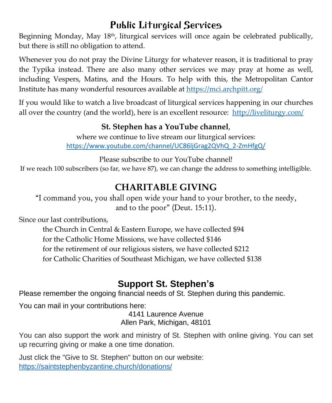# Public Liturgical Services

Beginning Monday, May 18<sup>th</sup>, liturgical services will once again be celebrated publically, but there is still no obligation to attend.

Whenever you do not pray the Divine Liturgy for whatever reason, it is traditional to pray the Typika instead. There are also many other services we may pray at home as well, including Vespers, Matins, and the Hours. To help with this, the Metropolitan Cantor Institute has many wonderful resources available at<https://mci.archpitt.org/>

If you would like to watch a live broadcast of liturgical services happening in our churches all over the country (and the world), here is an excellent resource: <http://liveliturgy.com/>

## **St. Stephen has a YouTube channel**,

where we continue to live stream our liturgical services: [https://www.youtube.com/channel/UC86ljGrag2QVhQ\\_2-ZmHfgQ/](https://www.youtube.com/channel/UC86ljGrag2QVhQ_2-ZmHfgQ/)

Please subscribe to our YouTube channel!

If we reach 100 subscribers (so far, we have 87), we can change the address to something intelligible.

# **CHARITABLE GIVING**

"I command you, you shall open wide your hand to your brother, to the needy, and to the poor" (Deut. 15:11).

Since our last contributions,

the Church in Central & Eastern Europe, we have collected \$94 for the Catholic Home Missions, we have collected \$146 for the retirement of our religious sisters, we have collected \$212 for Catholic Charities of Southeast Michigan, we have collected \$138

# **Support St. Stephen's**

Please remember the ongoing financial needs of St. Stephen during this pandemic.

*You can mail in your contributions here:*

4141 Laurence Avenue Allen Park, Michigan, 48101

You can also support the work and ministry of St. Stephen with online giving. You can set up recurring giving or make a one time donation.

Just click the "Give to St. Stephen" button on our website: <https://saintstephenbyzantine.church/donations/>